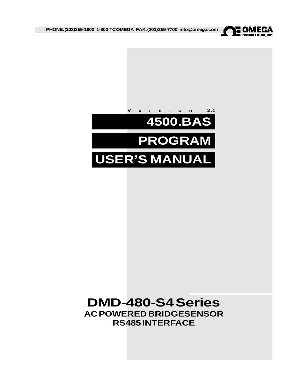

**PHONE: (203)359-1600 1-800-TC OMEGA FAX:(203)359-7700 info@omega.com**



# **DMD-480-S4 Series AC POWERED BRIDGESENSOR RS485 INTERFACE**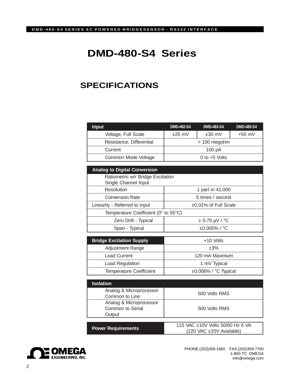# **DMD-480-S4 Series**

# **SPECIFICATIONS**

| <b>Input</b>                                | <b>DMD-482-S4</b>                | <b>DMD-483-S4</b>  | <b>DMD-485-S4</b> |
|---------------------------------------------|----------------------------------|--------------------|-------------------|
| Voltage, Full Scale                         | $±30$ mV<br>$±25$ mV             |                    | $+50$ mV          |
| Resistance, Differential                    | > 100 megohm                     |                    |                   |
| Current                                     |                                  | 100 pA             |                   |
| Common Mode Voltage                         | $0$ to $+5$ Volts                |                    |                   |
| <b>Analog to Digital Conversion</b>         |                                  |                    |                   |
| Ratiometric w/r Bridge Excitation           |                                  |                    |                   |
| Single Channel Input                        |                                  |                    |                   |
| Resolution                                  | 1 part in 41,000                 |                    |                   |
| <b>Conversion Rate</b>                      | 5 times / second                 |                    |                   |
| Linearity - Referred to Input               | ±0.01% of Full Scale             |                    |                   |
| Temperature Coefficient (0° to 55°C)        |                                  |                    |                   |
| Zero Drift - Typical                        |                                  | $\pm$ 0.75 µV / °C |                   |
| Span - Typical                              | $±0.005\%$ / °C                  |                    |                   |
|                                             |                                  |                    |                   |
| <b>Bridge Excitation Supply</b>             |                                  | $+10$ Volts        |                   |
| Adjustment Range                            | ±3%                              |                    |                   |
| <b>Load Current</b>                         | 120 mA Maximum                   |                    |                   |
| Load Regulation                             | 1 mV Typical                     |                    |                   |
| <b>Temperature Coefficient</b>              | ±0.006% / °C Typical             |                    |                   |
|                                             |                                  |                    |                   |
| <b>Isolation</b>                            |                                  |                    |                   |
| Analog & Microprocessor                     | 500 Volts RMS                    |                    |                   |
| Common to Line                              |                                  |                    |                   |
| Analog & Microprocessor<br>Common to Serial | 500 Volts RMS                    |                    |                   |
| Output                                      |                                  |                    |                   |
|                                             |                                  |                    |                   |
| <b>Power Requirements</b>                   | 115 VAC ±10V Volts 50/60 Hz 6 VA |                    |                   |
|                                             | (220 VAC ±20V Available)         |                    |                   |



PHONE:(203)359-1660 FAX:(203)359-7700 1-800-TC OMEGA info@omega.com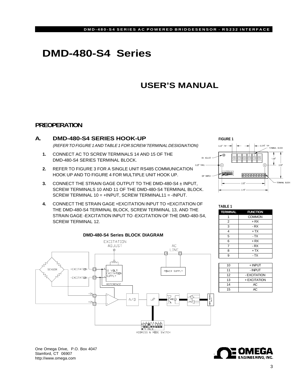# **DMD-480-S4 Series**

# **USER'S MANUAL**

# **PREOPERATION**



- **2.** REFER TO FIGURE 3 FOR A SINGLE UNIT RS485 COMMUNICATION HOOK UP AND TO FIGURE 4 FOR MULTIPLE UNIT HOOK UP.
- **3.** CONNECT THE STRAIN GAGE OUTPUT TO THE DMD-480-S4 ± INPUT, SCREW TERMINALS 10 AND 11 OF THE DMD-480-S4 TERMINAL BLOCK. SCREW TERMINAL 10 = +INPUT, SCREW TERMINAL11 = -INPUT.
- **4.** CONNECT THE STRAIN GAGE +EXCITATION INPUT TO +EXCITATION OF THE DMD-480-S4 TERMINAL BLOCK, SCREW TERMINAL 13, AND THE STRAIN GAGE -EXCITATION INPUT TO -EXCITATION OF THE DMD-480-S4, SCREW TERMINAL 12.



 $\boxed{\textcircled{\small 0}}$  $\circledR$ Ð (+ **Rìnghiên An 000000000** DIP SWITCH TEDUCAL BLOCK **TABLE 1**

**FIGURE 1**

0.32" TYP -G

 $0.25''$ 

| <b>TERMINAL</b> | <b>FUNCTION</b> |  |  |
|-----------------|-----------------|--|--|
|                 | <b>COMMON</b>   |  |  |
| $\overline{2}$  | $+ RX$          |  |  |
| 3               | - RX            |  |  |
| 4               | $+TX$           |  |  |
| 5               | - TX            |  |  |
| 6               | $+ RX$          |  |  |
| 7               | - RX            |  |  |
| 8               | $+TX$           |  |  |
| g               | - TX            |  |  |

| 10 | $+$ INPUT    |
|----|--------------|
| 11 | - INPUT      |
| 12 | - EXCITATION |
| 13 | + EXCITATION |
| 14 | AC           |
| 15 | AC.          |
|    |              |

**ENGINEERING, INC.** 

One Omega Drive, P.O. Box 4047 Stamford, CT 06907 http://www.omega.com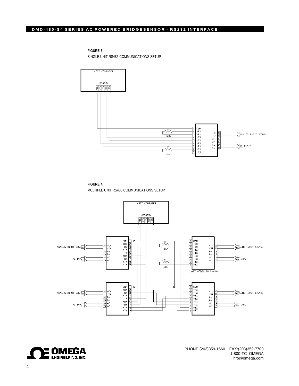#### **DMD-480-S4 SERIES AC POWERED BRIDGESENSOR - RS232 INTERFACE**

**FIGURE 3.**

SINGLE UNIT RS485 COMMUNICATIONS SETUP



**FIGURE 4.** MULTIPLE UNIT RS485 COMMUNICATIONS SETUP



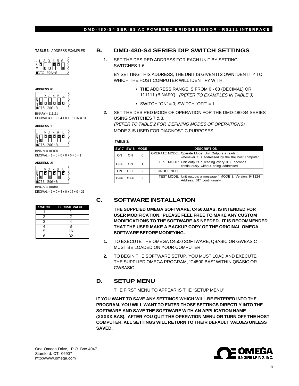**TABLE 3:** ADDRESS EXAMPLES





BINARY = 111111 DECIMAL =  $1 + 2 + 4 + 8 + 16 + 32 = 63$ 

**ADDRESS 1**



BINARY = 100000  $\text{DECIMAL} = 1 + 0 + 0 + 0 + 0 + 0 = 1$ 

**ADDRESS 21**



BINARY = 101010 DECIMAL =  $1 + 0 + 4 + 0 + 16 + 0 = 21$ 

|   | SWITCH DECIMAL VALUE |
|---|----------------------|
|   |                      |
| 2 | 2                    |
| 3 |                      |
|   | 8                    |
| 5 | 16                   |
|   | 32                   |

### **B. DMD-480-S4 SERIES DIP SWITCH SETTINGS**

**1.** SET THE DESIRED ADDRESS FOR EACH UNIT BY SETTING SWITCHES 1-6.

BY SETTING THIS ADDRESS, THE UNIT IS GIVEN ITS OWN IDENTITY TO WHICH THE HOST COMPUTER WILL IDENTIFY WITH.

- THE ADDRESS RANGE IS FROM 0 63 (DECIMAL) OR 111111 (BINARY). (REFER TO EXAMPLES IN TABLE 3).
- SWITCH "ON" = 0; SWITCH "OFF" = 1
- **2.** SET THE DESIRED MODE OF OPERATION FOR THE DMD-480-S4 SERIES USING SWITCHES 7 & 8.

(REFER TO TABLE 2 FOR DEFINING MODES OF OPERATIONS) MODE 3 IS USED FOR DIAGNOSTIC PURPOSES.

#### **TABLE 2:**

|            |            | SW 7 SW 8 MODE | <b>DESCRIPTION</b>                                                                           |                                                    |
|------------|------------|----------------|----------------------------------------------------------------------------------------------|----------------------------------------------------|
| ON         | ON         | 0              | OPERATE MODE: Operate Mode: Unit Outputs a reading                                           | whenever it is addressed by the the host computer. |
| OFF        | ON         |                | TEST MODE: Unit outputs a reading every 0.33 seconds<br>continuously without being addressed |                                                    |
| ON         | <b>OFF</b> | 2              | UNDEFINED:                                                                                   |                                                    |
| <b>OFF</b> | <b>OFF</b> | 3              | TEST MODE: Unit outputs a message " MODE 3: Version: 941124<br>Address: 01" continuously.    |                                                    |

## **C. SOFTWARE INSTALLATION**

**THE SUPPLIED OMEGA SOFTWARE, C4500.BAS, IS INTENDED FOR USER MODIFICATION. PLEASE FEEL FREE TO MAKE ANY CUSTOM MODIFICATIONS TO THE SOFTWARE AS NEEDED. IT IS RECOMMENDED THAT THE USER MAKE A BACKUP COPY OF THE ORIGINAL OMEGA SOFTWARE BEFORE MODIFYING.**

- **1.** TO EXECUTE THE OMEGA C4500 SOFTWARE, QBASIC OR GWBASIC MUST BE LOADED ON YOUR COMPUTER.
- **2.** TO BEGIN THE SOFTWARE SETUP, YOU MUST LOAD AND EXECUTE THE SUPPLIED OMEGA PROGRAM, "C4500.BAS" WITHIN QBASIC OR GWBASIC.

## **D. SETUP MENU**

THE FIRST MENU TO APPEAR IS THE "SETUP MENU"

**IF YOU WANT TO SAVE ANY SETTINGS WHICH WILL BE ENTERED INTO THE PROGRAM, YOU WILL WANT TO ENTER THOSE SETTINGS DIRECTLY INTO THE SOFTWARE AND SAVE THE SOFTWARE WITH AN APPLICATION NAME (XXXXX.BAS). AFTER YOU QUIT THE OPERATION MENU OR TURN OFF THE HOST COMPUTER, ALL SETTINGS WILL RETURN TO THEIR DEFAULT VALUES UNLESS SAVED.**

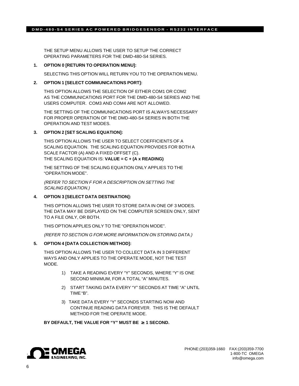THE SETUP MENU ALLOWS THE USER TO SETUP THE CORRECT OPERATING PARAMETERS FOR THE DMD-480-S4 SERIES.

#### **1. OPTION 0 [RETURN TO OPERATION MENU]:**

SELECTING THIS OPTION WILL RETURN YOU TO THE OPERATION MENU.

#### **2. OPTION 1 [SELECT COMMUNICATIONS PORT]:**

THIS OPTION ALLOWS THE SELECTION OF EITHER COM1 OR COM2 AS THE COMMUNICATIONS PORT FOR THE DMD-480-S4 SERIES AND THE USERS COMPUTER. COM3 AND COM4 ARE NOT ALLOWED.

THE SETTING OF THE COMMUNICATIONS PORT IS ALWAYS NECESSARY FOR PROPER OPERATION OF THE DMD-480-S4 SERIES IN BOTH THE OPERATION AND TEST MODES.

#### **3. OPTION 2 [SET SCALING EQUATION]:**

THIS OPTION ALLOWS THE USER TO SELECT COEFFICIENTS OF A SCALING EQUATION. THE SCALING EQUATION PROVIDES FOR BOTH A SCALE FACTOR (A) AND A FIXED OFFSET (C). THE SCALING EQUATION IS: **VALUE = C + (A x READING)**

THE SETTING OF THE SCALING EQUATION ONLY APPLIES TO THE "OPERATION MODE".

(REFER TO SECTION F FOR A DESCRIPTION ON SETTING THE SCALING EQUATION.)

#### **4. OPTION 3 [SELECT DATA DESTINATION]:**

THIS OPTION ALLOWS THE USER TO STORE DATA IN ONE OF 3 MODES. THE DATA MAY BE DISPLAYED ON THE COMPUTER SCREEN ONLY, SENT TO A FILE ONLY, OR BOTH.

THIS OPTION APPLIES ONLY TO THE "OPERATION MODE".

(REFER TO SECTION G FOR MORE INFORMATION ON STORING DATA.)

#### **5. OPTION 4 [DATA COLLECTION METHOD]:**

THIS OPTION ALLOWS THE USER TO COLLECT DATA IN 3 DIFFERENT WAYS AND ONLY APPLIES TO THE OPERATE MODE, NOT THE TEST MODE.

- 1) TAKE A READING EVERY "Y" SECONDS, WHERE "Y" IS ONE SECOND MINIMUM, FOR A TOTAL "A" MINUTES.
- 2) START TAKING DATA EVERY "Y" SECONDS AT TIME "A" UNTIL TIME "B".
- 3) TAKE DATA EVERY "Y" SECONDS STARTING NOW AND CONTINUE READING DATA FOREVER. THIS IS THE DEFAULT METHOD FOR THE OPERATE MODE.

#### **BY DEFAULT, THE VALUE FOR "Y" MUST BE** ≥ **1 SECOND.**

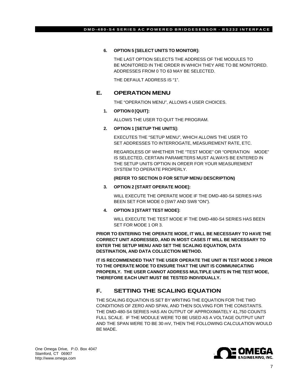#### **6. OPTION 5 [SELECT UNITS TO MONITOR]:**

THE LAST OPTION SELECTS THE ADDRESS OF THE MODULES TO BE MONITORED IN THE ORDER IN WHICH THEY ARE TO BE MONITORED. ADDRESSES FROM 0 TO 63 MAY BE SELECTED.

THE DEFAULT ADDRESS IS "1".

### **E. OPERATION MENU**

THE "OPERATION MENU", ALLOWS 4 USER CHOICES.

#### **1. OPTION 0 [QUIT]:**

ALLOWS THE USER TO QUIT THE PROGRAM.

#### **2. OPTION 1 [SETUP THE UNITS]:**

EXECUTES THE "SETUP MENU", WHICH ALLOWS THE USER TO SET ADDRESSES TO INTERROGATE, MEASUREMENT RATE, ETC.

REGARDLESS OF WHETHER THE "TEST MODE" OR "OPERATION MODE" IS SELECTED, CERTAIN PARAMETERS MUST ALWAYS BE ENTERED IN THE SETUP UNITS OPTION IN ORDER FOR YOUR MEASUREMENT SYSTEM TO OPERATE PROPERLY.

#### **(REFER TO SECTION D FOR SETUP MENU DESCRIPTION)**

#### **3. OPTION 2 [START OPERATE MODE]:**

WILL EXECUTE THE OPERATE MODE IF THE DMD-480-S4 SERIES HAS BEEN SET FOR MODE 0 (SW7 AND SW8 "ON").

#### **4. OPTION 3 [START TEST MODE]:**

WILL EXECUTE THE TEST MODE IF THE DMD-480-S4 SERIES HAS BEEN SET FOR MODE 1 OR 3.

**PRIOR TO ENTERING THE OPERATE MODE, IT WILL BE NECESSARY TO HAVE THE CORRECT UNIT ADDRESSED, AND IN MOST CASES IT WILL BE NECESSARY TO ENTER THE SETUP MENU AND SET THE SCALING EQUATION, DATA DESTINATION, AND DATA COLLECTION METHOD.**

**IT IS RECOMMENDED THAT THE USER OPERATE THE UNIT IN TEST MODE 3 PRIOR TO THE OPERATE MODE TO ENSURE THAT THE UNIT IS COMMUNICATING PROPERLY. THE USER CANNOT ADDRESS MULTIPLE UNITS IN THE TEST MODE, THEREFORE EACH UNIT MUST BE TESTED INDIVIDUALLY.**

# **F. SETTING THE SCALING EQUATION**

THE SCALING EQUATION IS SET BY WRITING THE EQUATION FOR THE TWO CONDITIONS OF ZERO AND SPAN, AND THEN SOLVING FOR THE CONSTANTS. THE DMD-480-S4 SERIES HAS AN OUTPUT OF APPROXIMATELY 41,750 COUNTS FULL SCALE. IF THE MODULE WERE TO BE USED AS A VOLTAGE OUTPUT UNIT AND THE SPAN WERE TO BE 30 mV, THEN THE FOLLOWING CALCULATION WOULD BE MADE.

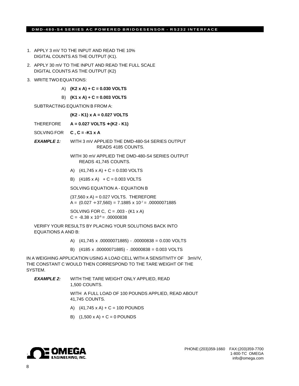#### **DMD-480-S4 SERIES AC POWERED BRIDGESENSOR - RS232 INTERFACE**

- 1. APPLY 3 mV TO THE INPUT AND READ THE 10% DIGITAL COUNTS AS THE OUTPUT (K1).
- 2. APPLY 30 mV TO THE INPUT AND READ THE FULL SCALE DIGITAL COUNTS AS THE OUTPUT (K2)
- 3. WRITE TWO EQUATIONS:
	- A) **(K2 x A) + C = 0.030 VOLTS**
	- B) **(K1 x A) + C = 0.003 VOLTS**

SUBTRACTING EQUATION B FROM A:

#### **(K2 - K1) x A = 0.027 VOLTS**

- THEREFORE **A = 0.027 VOLTS** ÷ **(K2 K1)**
- SOLVING FOR **C , C = -K1 x A**
- **EXAMPLE 1:** WITH 3 mV APPLIED THE DMD-480-S4 SERIES OUTPUT READS 4185 COUNTS.

WITH 30 mV APPLIED THE DMD-480-S4 SERIES OUTPUT READS 41,745 COUNTS.

- A)  $(41,745 \times A) + C = 0.030 \text{ VOLTS}$
- B)  $(4185 \times A) + C = 0.003 \text{ VOLTS}$

SOLVING EQUATION A - EQUATION B

(37,560 x A) = 0.027 VOLTS. THEREFORE A =  $(0.027 \div 37,560) = 7.1885 \times 10^{-7} = .00000071885$ 

SOLVING FOR C,  $C = .003 - (K1 \times A)$  $C = -8.38 \times 10^{-6} = .00000838$ 

VERIFY YOUR RESULTS BY PLACING YOUR SOLUTIONS BACK INTO EQUATIONS A AND B:

- A) (41,745 x .00000071885) .00000838 = 0.030 VOLTS
- B) (4185 x .00000071885) .00000838 = 0.003 VOLTS

IN A WEIGHING APPLICATION USING A LOAD CELL WITH A SENSITIVITY OF 3mV/V, THE CONSTANT C WOULD THEN CORRESPOND TO THE TARE WEIGHT OF THE SYSTEM.

**EXAMPLE 2:** WITH THE TARE WEIGHT ONLY APPLIED, READ 1,500 COUNTS.

> WITH A FULL LOAD OF 100 POUNDS APPLIED, READ ABOUT 41,745 COUNTS.

- A)  $(41,745 \times A) + C = 100$  POUNDS
- B)  $(1,500 \times A) + C = 0$  POUNDS

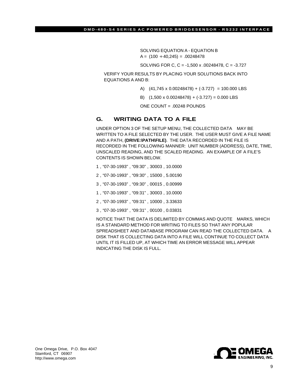SOLVING EQUATION A - EQUATION B  $A = (100 \div 40,245) = .00248478$ 

SOLVING FOR C, C = -1,500 x .00248478, C = -3.727

VERIFY YOUR RESULTS BY PLACING YOUR SOLUTIONS BACK INTO EQUATIONS A AND B:

- A) (41,745 x 0.00248478) + (-3.727) = 100.000 LBS
- B)  $(1,500 \times 0.00248478) + (-3.727) = 0.000$  LBS

ONE COUNT = .00248 POUNDS

# **G. WRITING DATA TO A FILE**

UNDER OPTION 3 OF THE SETUP MENU, THE COLLECTED DATA MAY BE WRITTEN TO A FILE SELECTED BY THE USER. THE USER MUST GIVE A FILE NAME AND A PATH, **(DRIVE:\PATH\FILE)**. THE DATA RECORDED IN THE FILE IS RECORDED IN THE FOLLOWING MANNER: UNIT NUMBER (ADDRESS), DATE, TIME, UNSCALED READING, AND THE SCALED READING. AN EXAMPLE OF A FILE'S CONTENTS IS SHOWN BELOW.

- 1 , "07-30-1993" , "09:30" , 30003 , 10.0000
- 2 , "07-30-1993" , "09:30" , 15000 , 5.00190
- 3 , "07-30-1993" , "09:30" , 00015 , 0.00999
- 1 , "07-30-1993" , "09:31" , 30003 , 10.0000
- 2 , "07-30-1993" , "09:31" , 10000 , 3.33633
- 3 , "07-30-1993" , "09:31" , 00100 , 0.03831

NOTICE THAT THE DATA IS DELIMITED BY COMMAS AND QUOTE MARKS, WHICH IS A STANDARD METHOD FOR WRITING TO FILES SO THAT ANY POPULAR SPREADSHEET AND DATABASE PROGRAM CAN READ THE COLLECTED DATA. A DISK THAT IS COLLECTING DATA INTO A FILE WILL CONTINUE TO COLLECT DATA UNTIL IT IS FILLED UP, AT WHICH TIME AN ERROR MESSAGE WILL APPEAR INDICATING THE DISK IS FULL.



One Omega Drive, P.O. Box 4047 Stamford, CT 06907 http://www.omega.com